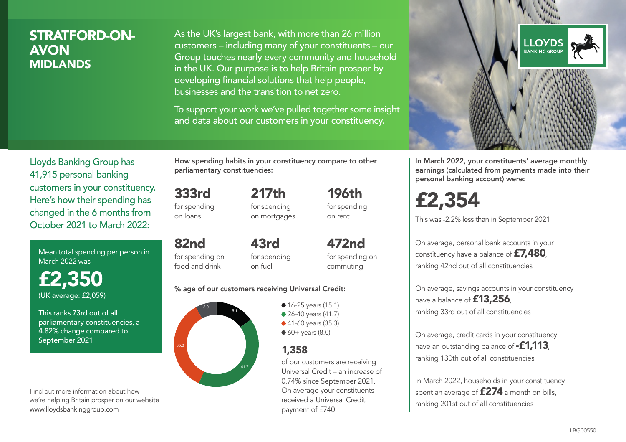## STRATFORD-ON-AVON MIDLANDS

As the UK's largest bank, with more than 26 million customers – including many of your constituents – our Group touches nearly every community and household in the UK. Our purpose is to help Britain prosper by developing financial solutions that help people, businesses and the transition to net zero.

To support your work we've pulled together some insight and data about our customers in your constituency.



Mean total spending per person in March 2022 was

£2,350 (UK average: £2,059)

This ranks 73rd out of all parliamentary constituencies, a 4.82% change compared to September 2021

Find out more information about how we're helping Britain prosper on our website www.lloydsbankinggroup.com

How spending habits in your constituency compare to other parliamentary constituencies:

> 217th for spending on mortgages

333rd for spending on loans

82nd

food and drink

for spending on 43rd

for spending on fuel

for spending on commuting

472nd

196th for spending on rent

#### % age of our customers receiving Universal Credit:



• 16-25 years (15.1) • 26-40 years (41.7) ● 41-60 years (35.3)  $60+$  years (8.0)

## 1,358

of our customers are receiving Universal Credit – an increase of 0.74% since September 2021. On average your constituents received a Universal Credit payment of £740



In March 2022, your constituents' average monthly earnings (calculated from payments made into their personal banking account) were:

£2,354

This was -2.2% less than in September 2021

On average, personal bank accounts in your constituency have a balance of £7,480, ranking 42nd out of all constituencies

On average, savings accounts in your constituency have a balance of **£13,256** ranking 33rd out of all constituencies

On average, credit cards in your constituency have an outstanding balance of **-£1,113** ranking 130th out of all constituencies

In March 2022, households in your constituency spent an average of £274 a month on bills, ranking 201st out of all constituencies